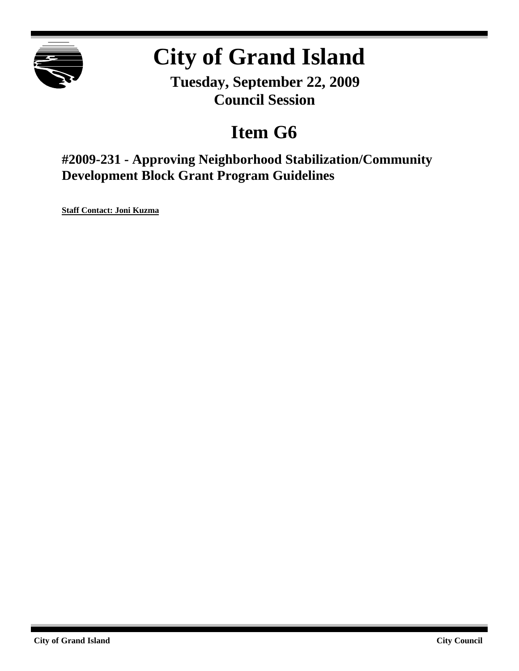

# **City of Grand Island**

**Tuesday, September 22, 2009 Council Session**

## **Item G6**

**#2009-231 - Approving Neighborhood Stabilization/Community Development Block Grant Program Guidelines**

**Staff Contact: Joni Kuzma**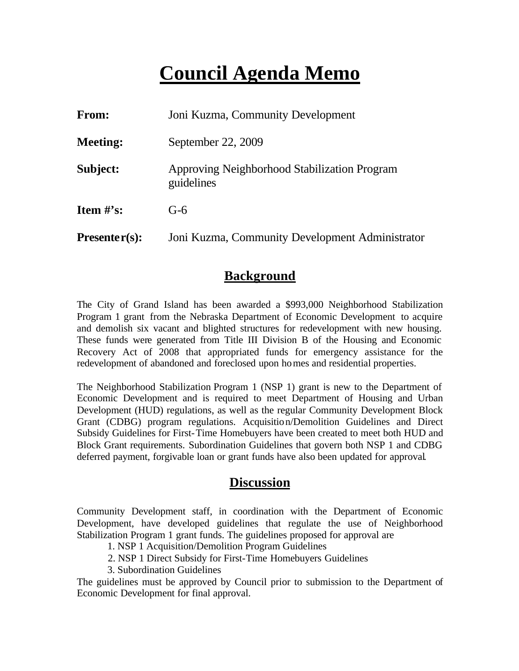## **Council Agenda Memo**

| From:           | Joni Kuzma, Community Development                          |  |
|-----------------|------------------------------------------------------------|--|
| <b>Meeting:</b> | September 22, 2009                                         |  |
| Subject:        | Approving Neighborhood Stabilization Program<br>guidelines |  |
| Item $#$ 's:    | $G-6$                                                      |  |
| $Presenter(s):$ | Joni Kuzma, Community Development Administrator            |  |

## **Background**

The City of Grand Island has been awarded a \$993,000 Neighborhood Stabilization Program 1 grant from the Nebraska Department of Economic Development to acquire and demolish six vacant and blighted structures for redevelopment with new housing. These funds were generated from Title III Division B of the Housing and Economic Recovery Act of 2008 that appropriated funds for emergency assistance for the redevelopment of abandoned and foreclosed upon homes and residential properties.

The Neighborhood Stabilization Program 1 (NSP 1) grant is new to the Department of Economic Development and is required to meet Department of Housing and Urban Development (HUD) regulations, as well as the regular Community Development Block Grant (CDBG) program regulations. Acquisition/Demolition Guidelines and Direct Subsidy Guidelines for First-Time Homebuyers have been created to meet both HUD and Block Grant requirements. Subordination Guidelines that govern both NSP 1 and CDBG deferred payment, forgivable loan or grant funds have also been updated for approval.

## **Discussion**

Community Development staff, in coordination with the Department of Economic Development, have developed guidelines that regulate the use of Neighborhood Stabilization Program 1 grant funds. The guidelines proposed for approval are

1. NSP 1 Acquisition/Demolition Program Guidelines

2. NSP 1 Direct Subsidy for First-Time Homebuyers Guidelines

3. Subordination Guidelines

The guidelines must be approved by Council prior to submission to the Department of Economic Development for final approval.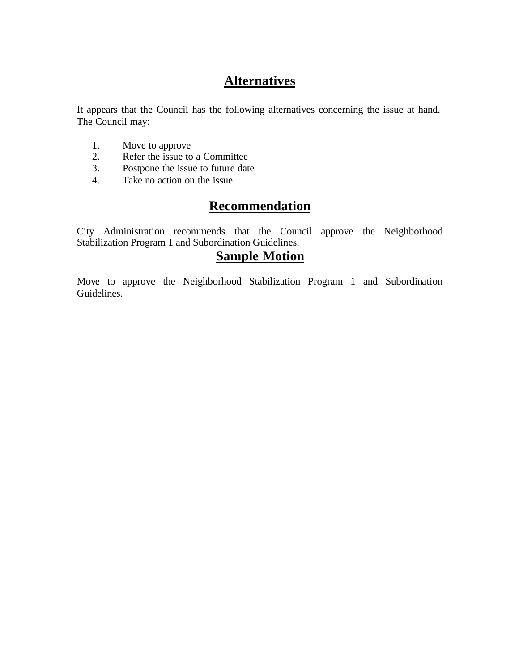## **Alternatives**

It appears that the Council has the following alternatives concerning the issue at hand. The Council may:

- 1. Move to approve<br>2. Refer the issue to
- Refer the issue to a Committee
- 3. Postpone the issue to future date
- 4. Take no action on the issue

## **Recommendation**

City Administration recommends that the Council approve the Neighborhood Stabilization Program 1 and Subordination Guidelines.

## **Sample Motion**

Move to approve the Neighborhood Stabilization Program 1 and Subordination Guidelines.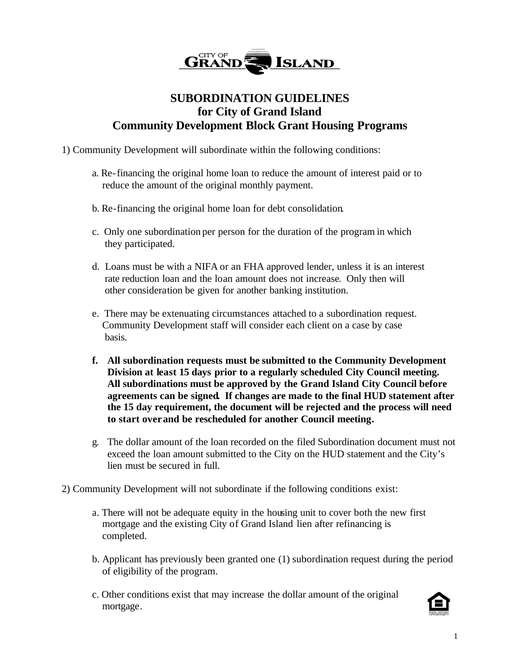

### **SUBORDINATION GUIDELINES for City of Grand Island Community Development Block Grant Housing Programs**

- 1) Community Development will subordinate within the following conditions:
	- a. Re-financing the original home loan to reduce the amount of interest paid or to reduce the amount of the original monthly payment.
	- b. Re-financing the original home loan for debt consolidation.
	- c. Only one subordination per person for the duration of the program in which they participated.
	- d. Loans must be with a NIFA or an FHA approved lender, unless it is an interest rate reduction loan and the loan amount does not increase. Only then will other consideration be given for another banking institution.
	- e. There may be extenuating circumstances attached to a subordination request. Community Development staff will consider each client on a case by case basis.
	- **f. All subordination requests must be submitted to the Community Development Division at least 15 days prior to a regularly scheduled City Council meeting. All subordinations must be approved by the Grand Island City Council before agreements can be signed. If changes are made to the final HUD statement after the 15 day requirement, the document will be rejected and the process will need to start over and be rescheduled for another Council meeting.**
	- g. The dollar amount of the loan recorded on the filed Subordination document must not exceed the loan amount submitted to the City on the HUD statement and the City's lien must be secured in full.
- 2) Community Development will not subordinate if the following conditions exist:
	- a. There will not be adequate equity in the housing unit to cover both the new first mortgage and the existing City of Grand Island lien after refinancing is completed.
	- b. Applicant has previously been granted one (1) subordination request during the period of eligibility of the program.
	- c. Other conditions exist that may increase the dollar amount of the original mortgage.

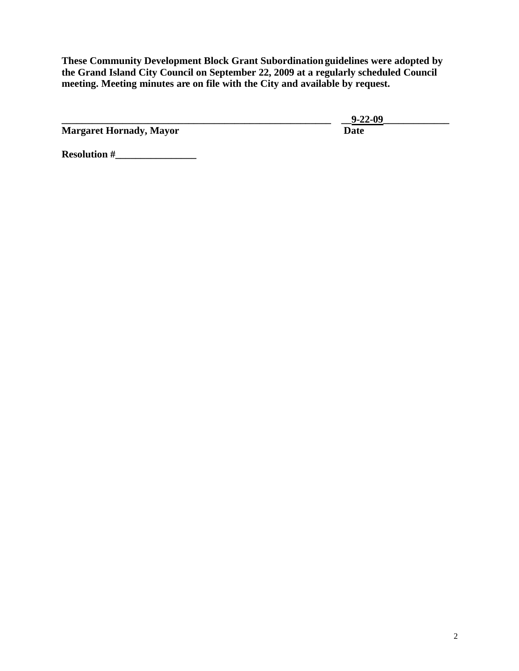**These Community Development Block Grant Subordination guidelines were adopted by the Grand Island City Council on September 22, 2009 at a regularly scheduled Council meeting. Meeting minutes are on file with the City and available by request.** 

|                                | $9 - 22 - 09$ |
|--------------------------------|---------------|
| <b>Margaret Hornady, Mayor</b> | Date          |
|                                |               |

**Resolution #\_\_\_\_\_\_\_\_\_\_\_\_\_\_\_\_**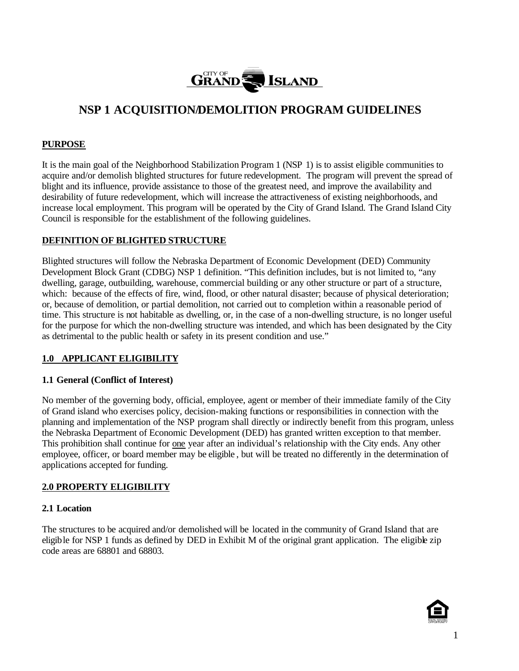

## **NSP 1 ACQUISITION/DEMOLITION PROGRAM GUIDELINES**

#### **PURPOSE**

It is the main goal of the Neighborhood Stabilization Program 1 (NSP 1) is to assist eligible communities to acquire and/or demolish blighted structures for future redevelopment. The program will prevent the spread of blight and its influence, provide assistance to those of the greatest need, and improve the availability and desirability of future redevelopment, which will increase the attractiveness of existing neighborhoods, and increase local employment. This program will be operated by the City of Grand Island. The Grand Island City Council is responsible for the establishment of the following guidelines.

#### **DEFINITION OF BLIGHTED STRUCTURE**

Blighted structures will follow the Nebraska Department of Economic Development (DED) Community Development Block Grant (CDBG) NSP 1 definition. "This definition includes, but is not limited to, "any dwelling, garage, outbuilding, warehouse, commercial building or any other structure or part of a structure, which: because of the effects of fire, wind, flood, or other natural disaster; because of physical deterioration; or, because of demolition, or partial demolition, not carried out to completion within a reasonable period of time. This structure is not habitable as dwelling, or, in the case of a non-dwelling structure, is no longer useful for the purpose for which the non-dwelling structure was intended, and which has been designated by the City as detrimental to the public health or safety in its present condition and use."

#### **1.0 APPLICANT ELIGIBILITY**

#### **1.1 General (Conflict of Interest)**

No member of the governing body, official, employee, agent or member of their immediate family of the City of Grand island who exercises policy, decision-making functions or responsibilities in connection with the planning and implementation of the NSP program shall directly or indirectly benefit from this program, unless the Nebraska Department of Economic Development (DED) has granted written exception to that member. This prohibition shall continue for one year after an individual's relationship with the City ends. Any other employee, officer, or board member may be eligible , but will be treated no differently in the determination of applications accepted for funding.

#### **2.0 PROPERTY ELIGIBILITY**

#### **2.1 Location**

The structures to be acquired and/or demolished will be located in the community of Grand Island that are eligible for NSP 1 funds as defined by DED in Exhibit M of the original grant application. The eligible zip code areas are 68801 and 68803.

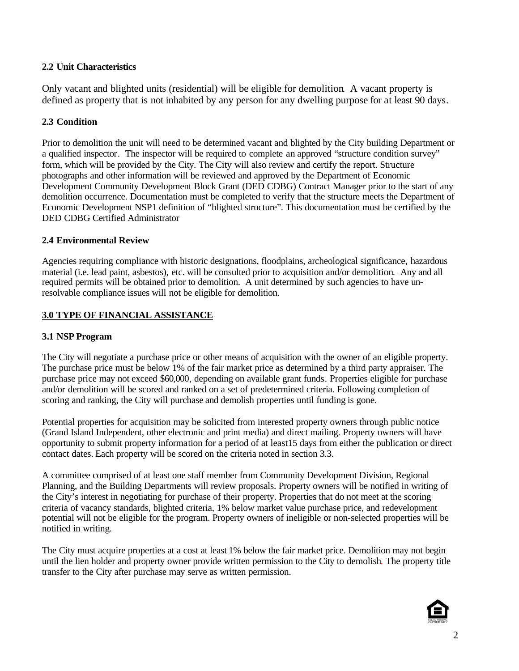#### **2.2 Unit Characteristics**

Only vacant and blighted units (residential) will be eligible for demolition. A vacant property is defined as property that is not inhabited by any person for any dwelling purpose for at least 90 days.

#### **2.3 Condition**

Prior to demolition the unit will need to be determined vacant and blighted by the City building Department or a qualified inspector. The inspector will be required to complete an approved "structure condition survey" form, which will be provided by the City. The City will also review and certify the report. Structure photographs and other information will be reviewed and approved by the Department of Economic Development Community Development Block Grant (DED CDBG) Contract Manager prior to the start of any demolition occurrence. Documentation must be completed to verify that the structure meets the Department of Economic Development NSP1 definition of "blighted structure". This documentation must be certified by the DED CDBG Certified Administrator

#### **2.4 Environmental Review**

Agencies requiring compliance with historic designations, floodplains, archeological significance, hazardous material (i.e. lead paint, asbestos), etc. will be consulted prior to acquisition and/or demolition. Any and all required permits will be obtained prior to demolition. A unit determined by such agencies to have unresolvable compliance issues will not be eligible for demolition.

#### **3.0 TYPE OF FINANCIAL ASSISTANCE**

#### **3.1 NSP Program**

The City will negotiate a purchase price or other means of acquisition with the owner of an eligible property. The purchase price must be below 1% of the fair market price as determined by a third party appraiser. The purchase price may not exceed \$60,000, depending on available grant funds. Properties eligible for purchase and/or demolition will be scored and ranked on a set of predetermined criteria. Following completion of scoring and ranking, the City will purchase and demolish properties until funding is gone.

Potential properties for acquisition may be solicited from interested property owners through public notice (Grand Island Independent, other electronic and print media) and direct mailing. Property owners will have opportunity to submit property information for a period of at least15 days from either the publication or direct contact dates. Each property will be scored on the criteria noted in section 3.3.

A committee comprised of at least one staff member from Community Development Division, Regional Planning, and the Building Departments will review proposals. Property owners will be notified in writing of the City's interest in negotiating for purchase of their property. Properties that do not meet at the scoring criteria of vacancy standards, blighted criteria, 1% below market value purchase price, and redevelopment potential will not be eligible for the program. Property owners of ineligible or non-selected properties will be notified in writing.

The City must acquire properties at a cost at least 1% below the fair market price. Demolition may not begin until the lien holder and property owner provide written permission to the City to demolish. The property title transfer to the City after purchase may serve as written permission.

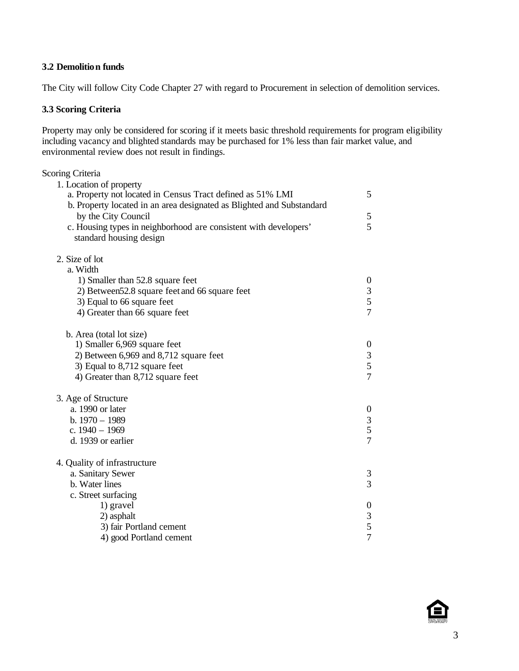#### **3.2 Demolition funds**

The City will follow City Code Chapter 27 with regard to Procurement in selection of demolition services.

#### **3.3 Scoring Criteria**

 Property may only be considered for scoring if it meets basic threshold requirements for program eligibility including vacancy and blighted standards may be purchased for 1% less than fair market value, and environmental review does not result in findings.

#### Scoring Criteria

| 5                                                                     |
|-----------------------------------------------------------------------|
| b. Property located in an area designated as Blighted and Substandard |
| 5                                                                     |
| 5                                                                     |
|                                                                       |
|                                                                       |
|                                                                       |
| $\boldsymbol{0}$                                                      |
| $\mathfrak 3$                                                         |
| 5                                                                     |
| $\overline{7}$                                                        |
|                                                                       |
| $\boldsymbol{0}$                                                      |
| $\mathfrak{Z}$                                                        |
| 5                                                                     |
| $\overline{7}$                                                        |
|                                                                       |
| $\boldsymbol{0}$                                                      |
| $rac{3}{5}$                                                           |
|                                                                       |
| $\overline{7}$                                                        |
|                                                                       |
| 3                                                                     |
| $\overline{3}$                                                        |
|                                                                       |
| $\boldsymbol{0}$                                                      |
| $\frac{3}{5}$                                                         |
|                                                                       |
| $\overline{7}$                                                        |
|                                                                       |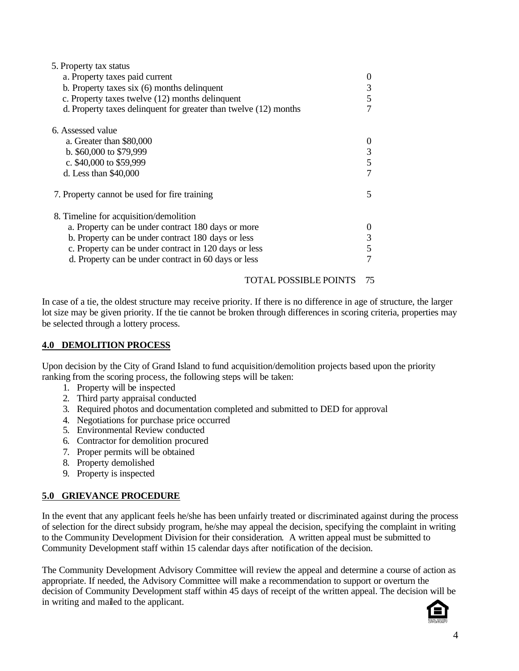| 5. Property tax status                                           |                  |
|------------------------------------------------------------------|------------------|
| a. Property taxes paid current                                   | $\boldsymbol{0}$ |
| b. Property taxes six (6) months delinquent                      | 3                |
| c. Property taxes twelve (12) months delinquent                  | 5                |
| d. Property taxes delinquent for greater than twelve (12) months | 7                |
| 6. Assessed value                                                |                  |
| a. Greater than \$80,000                                         | $\boldsymbol{0}$ |
| b. \$60,000 to \$79,999                                          | $\mathfrak{Z}$   |
| c. \$40,000 to \$59,999                                          | 5                |
| d. Less than $$40,000$                                           | 7                |
| 7. Property cannot be used for fire training                     | 5                |
| 8. Timeline for acquisition/demolition                           |                  |
| a. Property can be under contract 180 days or more               | $\boldsymbol{0}$ |
| b. Property can be under contract 180 days or less               | 3                |
| c. Property can be under contract in 120 days or less            | 5                |
| d. Property can be under contract in 60 days or less             | 7                |
|                                                                  |                  |

TOTAL POSSIBLE POINTS 75

In case of a tie, the oldest structure may receive priority. If there is no difference in age of structure, the larger lot size may be given priority. If the tie cannot be broken through differences in scoring criteria, properties may be selected through a lottery process.

#### **4.0 DEMOLITION PROCESS**

Upon decision by the City of Grand Island to fund acquisition/demolition projects based upon the priority ranking from the scoring process, the following steps will be taken:

- 1. Property will be inspected
- 2. Third party appraisal conducted
- 3. Required photos and documentation completed and submitted to DED for approval
- 4. Negotiations for purchase price occurred
- 5. Environmental Review conducted
- 6. Contractor for demolition procured
- 7. Proper permits will be obtained
- 8. Property demolished
- 9. Property is inspected

#### **5.0 GRIEVANCE PROCEDURE**

In the event that any applicant feels he/she has been unfairly treated or discriminated against during the process of selection for the direct subsidy program, he/she may appeal the decision, specifying the complaint in writing to the Community Development Division for their consideration. A written appeal must be submitted to Community Development staff within 15 calendar days after notification of the decision.

The Community Development Advisory Committee will review the appeal and determine a course of action as appropriate. If needed, the Advisory Committee will make a recommendation to support or overturn the decision of Community Development staff within 45 days of receipt of the written appeal. The decision will be in writing and mailed to the applicant.

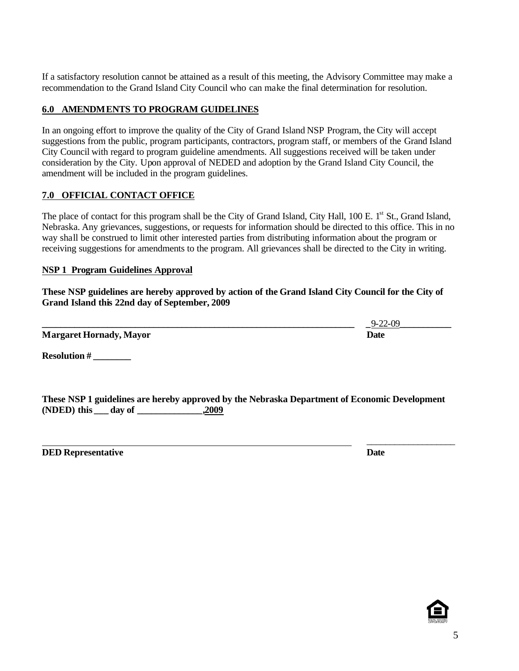If a satisfactory resolution cannot be attained as a result of this meeting, the Advisory Committee may make a recommendation to the Grand Island City Council who can make the final determination for resolution.

#### **6.0 AMENDMENTS TO PROGRAM GUIDELINES**

In an ongoing effort to improve the quality of the City of Grand Island NSP Program, the City will accept suggestions from the public, program participants, contractors, program staff, or members of the Grand Island City Council with regard to program guideline amendments. All suggestions received will be taken under consideration by the City. Upon approval of NEDED and adoption by the Grand Island City Council, the amendment will be included in the program guidelines.

#### **7.0 OFFICIAL CONTACT OFFICE**

The place of contact for this program shall be the City of Grand Island, City Hall,  $100 E$ . 1<sup>st</sup> St., Grand Island, Nebraska. Any grievances, suggestions, or requests for information should be directed to this office. This in no way shall be construed to limit other interested parties from distributing information about the program or receiving suggestions for amendments to the program. All grievances shall be directed to the City in writing.

#### **NSP 1 Program Guidelines Approval**

**These NSP guidelines are hereby approved by action of the Grand Island City Council for the City of Grand Island this 22nd day of September, 2009**

|                                | $9 - 22 - 0$ |
|--------------------------------|--------------|
| <b>Margaret Hornady, Mayor</b> | Date         |

**Resolution # \_\_\_\_\_\_\_\_**

|                                         |       | These NSP 1 guidelines are hereby approved by the Nebraska Department of Economic Development |
|-----------------------------------------|-------|-----------------------------------------------------------------------------------------------|
| (NDED) this $\rule{1em}{0.15mm}$ day of | ,2009 |                                                                                               |

**DED Representative Date**

 $\_$ 

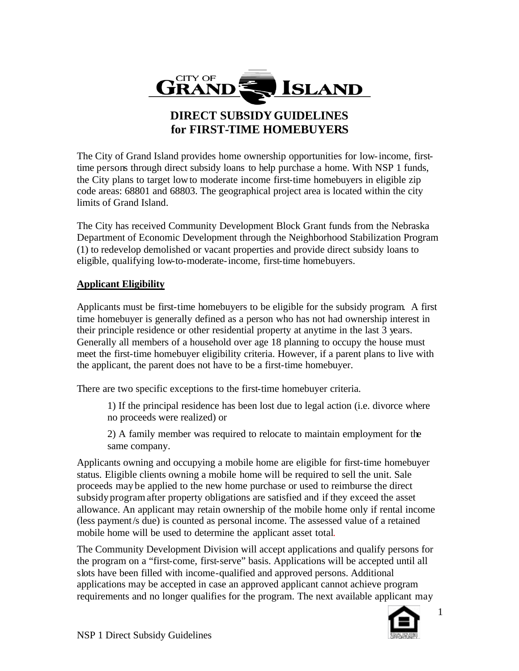

The City of Grand Island provides home ownership opportunities for low-income, firsttime persons through direct subsidy loans to help purchase a home. With NSP 1 funds, the City plans to target low to moderate income first-time homebuyers in eligible zip code areas: 68801 and 68803. The geographical project area is located within the city limits of Grand Island.

The City has received Community Development Block Grant funds from the Nebraska Department of Economic Development through the Neighborhood Stabilization Program (1) to redevelop demolished or vacant properties and provide direct subsidy loans to eligible, qualifying low-to-moderate-income, first-time homebuyers.

#### **Applicant Eligibility**

Applicants must be first-time homebuyers to be eligible for the subsidy program. A first time homebuyer is generally defined as a person who has not had ownership interest in their principle residence or other residential property at anytime in the last 3 years. Generally all members of a household over age 18 planning to occupy the house must meet the first-time homebuyer eligibility criteria. However, if a parent plans to live with the applicant, the parent does not have to be a first-time homebuyer.

There are two specific exceptions to the first-time homebuyer criteria.

1) If the principal residence has been lost due to legal action (i.e. divorce where no proceeds were realized) or

2) A family member was required to relocate to maintain employment for the same company.

Applicants owning and occupying a mobile home are eligible for first-time homebuyer status. Eligible clients owning a mobile home will be required to sell the unit. Sale proceeds may be applied to the new home purchase or used to reimburse the direct subsidy programafter property obligations are satisfied and if they exceed the asset allowance. An applicant may retain ownership of the mobile home only if rental income (less payment/s due) is counted as personal income. The assessed value of a retained mobile home will be used to determine the applicant asset total.

The Community Development Division will accept applications and qualify persons for the program on a "first-come, first-serve" basis. Applications will be accepted until all slots have been filled with income-qualified and approved persons. Additional applications may be accepted in case an approved applicant cannot achieve program requirements and no longer qualifies for the program. The next available applicant may

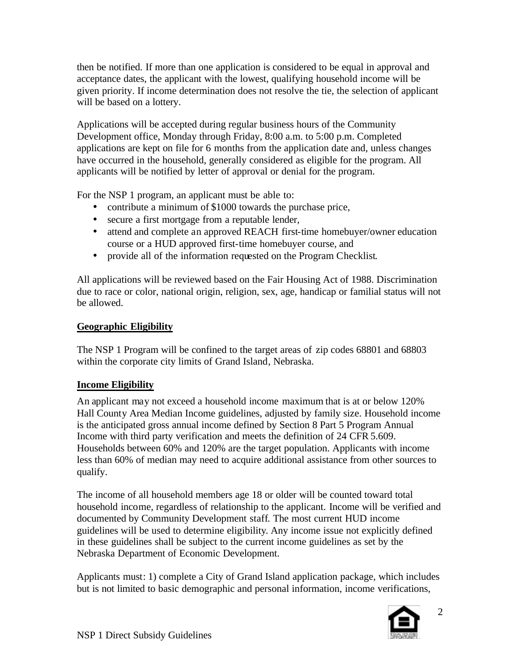then be notified. If more than one application is considered to be equal in approval and acceptance dates, the applicant with the lowest, qualifying household income will be given priority. If income determination does not resolve the tie, the selection of applicant will be based on a lottery.

Applications will be accepted during regular business hours of the Community Development office, Monday through Friday, 8:00 a.m. to 5:00 p.m. Completed applications are kept on file for 6 months from the application date and, unless changes have occurred in the household, generally considered as eligible for the program. All applicants will be notified by letter of approval or denial for the program.

For the NSP 1 program, an applicant must be able to:

- contribute a minimum of \$1000 towards the purchase price,
- secure a first mortgage from a reputable lender,
- attend and complete an approved REACH first-time homebuyer/owner education course or a HUD approved first-time homebuyer course, and
- provide all of the information requested on the Program Checklist.

All applications will be reviewed based on the Fair Housing Act of 1988. Discrimination due to race or color, national origin, religion, sex, age, handicap or familial status will not be allowed.

#### **Geographic Eligibility**

The NSP 1 Program will be confined to the target areas of zip codes 68801 and 68803 within the corporate city limits of Grand Island, Nebraska.

#### **Income Eligibility**

An applicant may not exceed a household income maximum that is at or below 120% Hall County Area Median Income guidelines, adjusted by family size. Household income is the anticipated gross annual income defined by Section 8 Part 5 Program Annual Income with third party verification and meets the definition of 24 CFR 5.609. Households between 60% and 120% are the target population. Applicants with income less than 60% of median may need to acquire additional assistance from other sources to qualify.

The income of all household members age 18 or older will be counted toward total household income, regardless of relationship to the applicant. Income will be verified and documented by Community Development staff. The most current HUD income guidelines will be used to determine eligibility. Any income issue not explicitly defined in these guidelines shall be subject to the current income guidelines as set by the Nebraska Department of Economic Development.

Applicants must: 1) complete a City of Grand Island application package, which includes but is not limited to basic demographic and personal information, income verifications,

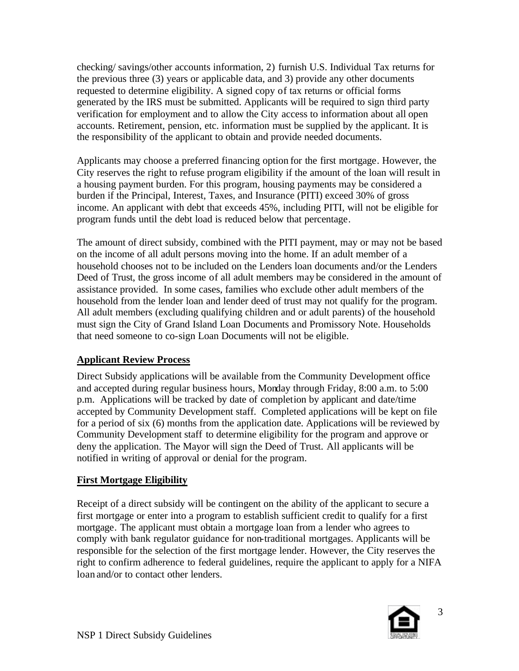checking/ savings/other accounts information, 2) furnish U.S. Individual Tax returns for the previous three (3) years or applicable data, and 3) provide any other documents requested to determine eligibility. A signed copy of tax returns or official forms generated by the IRS must be submitted. Applicants will be required to sign third party verification for employment and to allow the City access to information about all open accounts. Retirement, pension, etc. information must be supplied by the applicant. It is the responsibility of the applicant to obtain and provide needed documents.

Applicants may choose a preferred financing option for the first mortgage. However, the City reserves the right to refuse program eligibility if the amount of the loan will result in a housing payment burden. For this program, housing payments may be considered a burden if the Principal, Interest, Taxes, and Insurance (PITI) exceed 30% of gross income. An applicant with debt that exceeds 45%, including PITI, will not be eligible for program funds until the debt load is reduced below that percentage.

The amount of direct subsidy, combined with the PITI payment, may or may not be based on the income of all adult persons moving into the home. If an adult member of a household chooses not to be included on the Lenders loan documents and/or the Lenders Deed of Trust, the gross income of all adult members may be considered in the amount of assistance provided. In some cases, families who exclude other adult members of the household from the lender loan and lender deed of trust may not qualify for the program. All adult members (excluding qualifying children and or adult parents) of the household must sign the City of Grand Island Loan Documents and Promissory Note. Households that need someone to co-sign Loan Documents will not be eligible.

#### **Applicant Review Process**

Direct Subsidy applications will be available from the Community Development office and accepted during regular business hours, Monday through Friday, 8:00 a.m. to 5:00 p.m. Applications will be tracked by date of completion by applicant and date/time accepted by Community Development staff. Completed applications will be kept on file for a period of six (6) months from the application date. Applications will be reviewed by Community Development staff to determine eligibility for the program and approve or deny the application. The Mayor will sign the Deed of Trust. All applicants will be notified in writing of approval or denial for the program.

#### **First Mortgage Eligibility**

Receipt of a direct subsidy will be contingent on the ability of the applicant to secure a first mortgage or enter into a program to establish sufficient credit to qualify for a first mortgage. The applicant must obtain a mortgage loan from a lender who agrees to comply with bank regulator guidance for non-traditional mortgages. Applicants will be responsible for the selection of the first mortgage lender. However, the City reserves the right to confirm adherence to federal guidelines, require the applicant to apply for a NIFA loan and/or to contact other lenders.

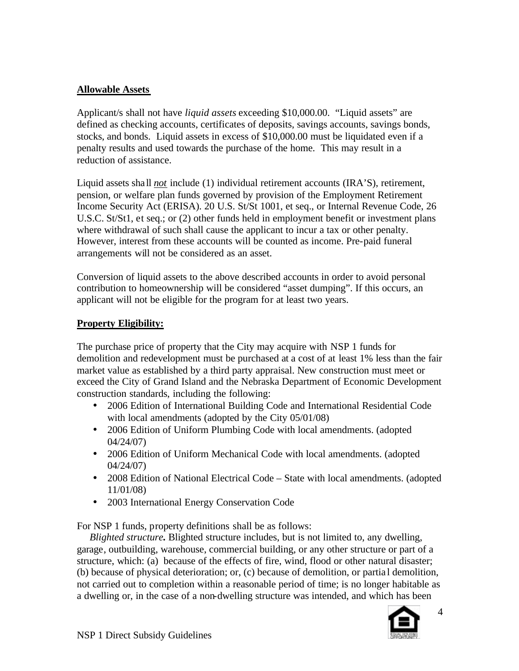#### **Allowable Assets**

Applicant/s shall not have *liquid assets* exceeding \$10,000.00. "Liquid assets" are defined as checking accounts, certificates of deposits, savings accounts, savings bonds, stocks, and bonds. Liquid assets in excess of \$10,000.00 must be liquidated even if a penalty results and used towards the purchase of the home. This may result in a reduction of assistance.

Liquid assets shall *not* include (1) individual retirement accounts (IRA'S), retirement, pension, or welfare plan funds governed by provision of the Employment Retirement Income Security Act (ERISA). 20 U.S. St/St 1001, et seq., or Internal Revenue Code, 26 U.S.C. St/St1, et seq.; or (2) other funds held in employment benefit or investment plans where withdrawal of such shall cause the applicant to incur a tax or other penalty. However, interest from these accounts will be counted as income. Pre-paid funeral arrangements will not be considered as an asset.

Conversion of liquid assets to the above described accounts in order to avoid personal contribution to homeownership will be considered "asset dumping". If this occurs, an applicant will not be eligible for the program for at least two years.

#### **Property Eligibility:**

The purchase price of property that the City may acquire with NSP 1 funds for demolition and redevelopment must be purchased at a cost of at least 1% less than the fair market value as established by a third party appraisal. New construction must meet or exceed the City of Grand Island and the Nebraska Department of Economic Development construction standards, including the following:

- 2006 Edition of International Building Code and International Residential Code with local amendments (adopted by the City 05/01/08)
- 2006 Edition of Uniform Plumbing Code with local amendments. (adopted 04/24/07)
- 2006 Edition of Uniform Mechanical Code with local amendments. (adopted 04/24/07)
- 2008 Edition of National Electrical Code State with local amendments. (adopted 11/01/08)
- 2003 International Energy Conservation Code

For NSP 1 funds, property definitions shall be as follows:

 *Blighted structure.* Blighted structure includes, but is not limited to, any dwelling, garage, outbuilding, warehouse, commercial building, or any other structure or part of a structure, which: (a) because of the effects of fire, wind, flood or other natural disaster; (b) because of physical deterioration; or, (c) because of demolition, or partia l demolition, not carried out to completion within a reasonable period of time; is no longer habitable as a dwelling or, in the case of a non-dwelling structure was intended, and which has been

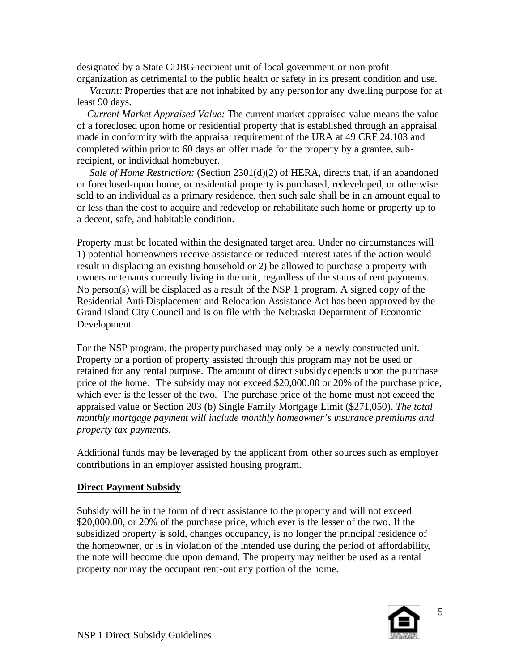designated by a State CDBG-recipient unit of local government or non-profit organization as detrimental to the public health or safety in its present condition and use.

 *Vacant:* Properties that are not inhabited by any person for any dwelling purpose for at least 90 days.

 *Current Market Appraised Value:* The current market appraised value means the value of a foreclosed upon home or residential property that is established through an appraisal made in conformity with the appraisal requirement of the URA at 49 CRF 24.103 and completed within prior to 60 days an offer made for the property by a grantee, subrecipient, or individual homebuyer.

 *Sale of Home Restriction:* (Section 2301(d)(2) of HERA, directs that, if an abandoned or foreclosed-upon home, or residential property is purchased, redeveloped, or otherwise sold to an individual as a primary residence, then such sale shall be in an amount equal to or less than the cost to acquire and redevelop or rehabilitate such home or property up to a decent, safe, and habitable condition.

Property must be located within the designated target area. Under no circumstances will 1) potential homeowners receive assistance or reduced interest rates if the action would result in displacing an existing household or 2) be allowed to purchase a property with owners or tenants currently living in the unit, regardless of the status of rent payments. No person(s) will be displaced as a result of the NSP 1 program. A signed copy of the Residential Anti-Displacement and Relocation Assistance Act has been approved by the Grand Island City Council and is on file with the Nebraska Department of Economic Development.

For the NSP program, the property purchased may only be a newly constructed unit. Property or a portion of property assisted through this program may not be used or retained for any rental purpose. The amount of direct subsidy depends upon the purchase price of the home. The subsidy may not exceed \$20,000.00 or 20% of the purchase price, which ever is the lesser of the two. The purchase price of the home must not exceed the appraised value or Section 203 (b) Single Family Mortgage Limit (\$271,050). *The total monthly mortgage payment will include monthly homeowner's insurance premiums and property tax payments.*

Additional funds may be leveraged by the applicant from other sources such as employer contributions in an employer assisted housing program.

#### **Direct Payment Subsidy**

Subsidy will be in the form of direct assistance to the property and will not exceed \$20,000.00, or 20% of the purchase price, which ever is the lesser of the two. If the subsidized property is sold, changes occupancy, is no longer the principal residence of the homeowner, or is in violation of the intended use during the period of affordability, the note will become due upon demand. The property may neither be used as a rental property nor may the occupant rent-out any portion of the home.

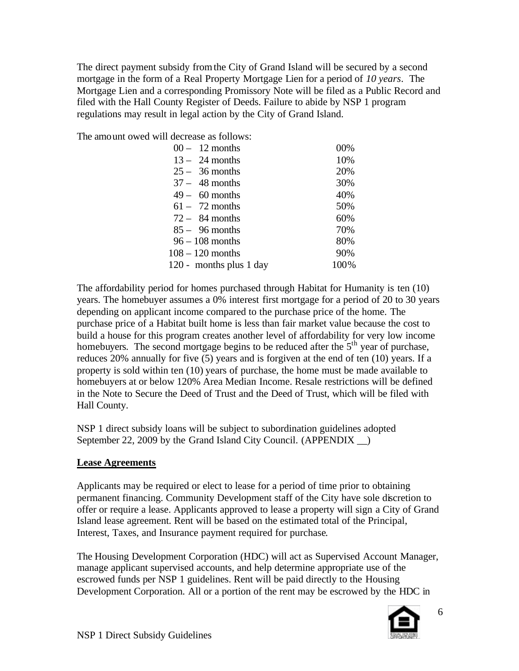The direct payment subsidy from the City of Grand Island will be secured by a second mortgage in the form of a Real Property Mortgage Lien for a period of *10 years*. The Mortgage Lien and a corresponding Promissory Note will be filed as a Public Record and filed with the Hall County Register of Deeds. Failure to abide by NSP 1 program regulations may result in legal action by the City of Grand Island.

The amount owed will decrease as follows:

| $00 - 12$ months        | 00%  |
|-------------------------|------|
| $13 - 24$ months        | 10%  |
| $25 - 36$ months        | 20%  |
| $37 - 48$ months        | 30%  |
| $49 - 60$ months        | 40%  |
| $61 - 72$ months        | 50%  |
| $72 - 84$ months        | 60%  |
| $85 - 96$ months        | 70%  |
| $96 - 108$ months       | 80%  |
| $108 - 120$ months      | 90%  |
| 120 - months plus 1 day | 100% |

The affordability period for homes purchased through Habitat for Humanity is ten (10) years. The homebuyer assumes a 0% interest first mortgage for a period of 20 to 30 years depending on applicant income compared to the purchase price of the home. The purchase price of a Habitat built home is less than fair market value because the cost to build a house for this program creates another level of affordability for very low income homebuyers. The second mortgage begins to be reduced after the  $5<sup>th</sup>$  year of purchase, reduces 20% annually for five (5) years and is forgiven at the end of ten (10) years. If a property is sold within ten (10) years of purchase, the home must be made available to homebuyers at or below 120% Area Median Income. Resale restrictions will be defined in the Note to Secure the Deed of Trust and the Deed of Trust, which will be filed with Hall County.

NSP 1 direct subsidy loans will be subject to subordination guidelines adopted September 22, 2009 by the Grand Island City Council. (APPENDIX )

#### **Lease Agreements**

Applicants may be required or elect to lease for a period of time prior to obtaining permanent financing. Community Development staff of the City have sole discretion to offer or require a lease. Applicants approved to lease a property will sign a City of Grand Island lease agreement. Rent will be based on the estimated total of the Principal, Interest, Taxes, and Insurance payment required for purchase.

The Housing Development Corporation (HDC) will act as Supervised Account Manager, manage applicant supervised accounts, and help determine appropriate use of the escrowed funds per NSP 1 guidelines. Rent will be paid directly to the Housing Development Corporation. All or a portion of the rent may be escrowed by the HDC in

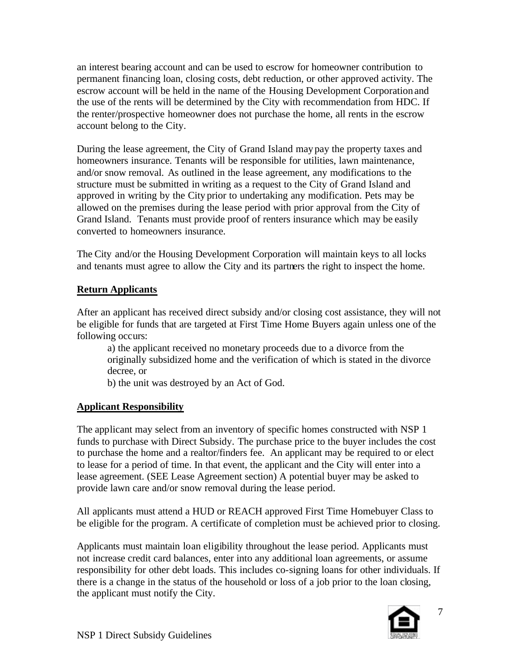an interest bearing account and can be used to escrow for homeowner contribution to permanent financing loan, closing costs, debt reduction, or other approved activity. The escrow account will be held in the name of the Housing Development Corporation and the use of the rents will be determined by the City with recommendation from HDC. If the renter/prospective homeowner does not purchase the home, all rents in the escrow account belong to the City.

During the lease agreement, the City of Grand Island may pay the property taxes and homeowners insurance. Tenants will be responsible for utilities, lawn maintenance, and/or snow removal. As outlined in the lease agreement, any modifications to the structure must be submitted in writing as a request to the City of Grand Island and approved in writing by the City prior to undertaking any modification. Pets may be allowed on the premises during the lease period with prior approval from the City of Grand Island. Tenants must provide proof of renters insurance which may be easily converted to homeowners insurance.

The City and/or the Housing Development Corporation will maintain keys to all locks and tenants must agree to allow the City and its partners the right to inspect the home.

#### **Return Applicants**

After an applicant has received direct subsidy and/or closing cost assistance, they will not be eligible for funds that are targeted at First Time Home Buyers again unless one of the following occurs:

a) the applicant received no monetary proceeds due to a divorce from the originally subsidized home and the verification of which is stated in the divorce decree, or

b) the unit was destroyed by an Act of God.

#### **Applicant Responsibility**

The applicant may select from an inventory of specific homes constructed with NSP 1 funds to purchase with Direct Subsidy. The purchase price to the buyer includes the cost to purchase the home and a realtor/finders fee. An applicant may be required to or elect to lease for a period of time. In that event, the applicant and the City will enter into a lease agreement. (SEE Lease Agreement section) A potential buyer may be asked to provide lawn care and/or snow removal during the lease period.

All applicants must attend a HUD or REACH approved First Time Homebuyer Class to be eligible for the program. A certificate of completion must be achieved prior to closing.

Applicants must maintain loan eligibility throughout the lease period. Applicants must not increase credit card balances, enter into any additional loan agreements, or assume responsibility for other debt loads. This includes co-signing loans for other individuals. If there is a change in the status of the household or loss of a job prior to the loan closing, the applicant must notify the City.

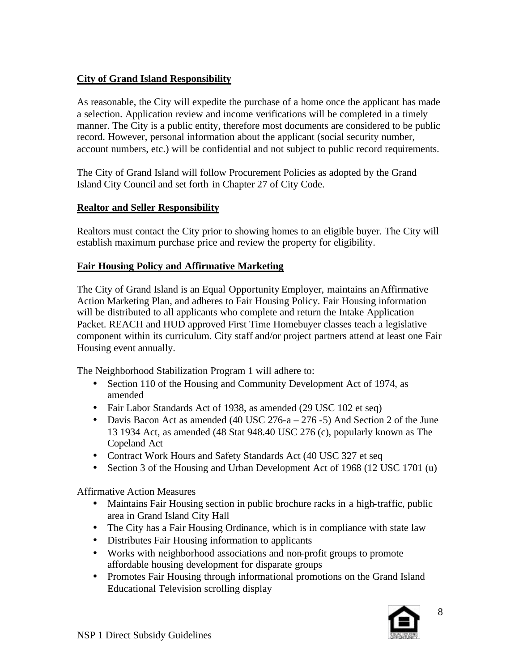#### **City of Grand Island Responsibility**

As reasonable, the City will expedite the purchase of a home once the applicant has made a selection. Application review and income verifications will be completed in a timely manner. The City is a public entity, therefore most documents are considered to be public record. However, personal information about the applicant (social security number, account numbers, etc.) will be confidential and not subject to public record requirements.

The City of Grand Island will follow Procurement Policies as adopted by the Grand Island City Council and set forth in Chapter 27 of City Code.

#### **Realtor and Seller Responsibility**

Realtors must contact the City prior to showing homes to an eligible buyer. The City will establish maximum purchase price and review the property for eligibility.

#### **Fair Housing Policy and Affirmative Marketing**

The City of Grand Island is an Equal Opportunity Employer, maintains an Affirmative Action Marketing Plan, and adheres to Fair Housing Policy. Fair Housing information will be distributed to all applicants who complete and return the Intake Application Packet. REACH and HUD approved First Time Homebuyer classes teach a legislative component within its curriculum. City staff and/or project partners attend at least one Fair Housing event annually.

The Neighborhood Stabilization Program 1 will adhere to:

- Section 110 of the Housing and Community Development Act of 1974, as amended
- Fair Labor Standards Act of 1938, as amended (29 USC 102 et seq)
- Davis Bacon Act as amended (40 USC 276-a 276 -5) And Section 2 of the June 13 1934 Act, as amended (48 Stat 948.40 USC 276 (c), popularly known as The Copeland Act
- Contract Work Hours and Safety Standards Act (40 USC 327 et seq
- Section 3 of the Housing and Urban Development Act of 1968 (12 USC 1701 (u)

Affirmative Action Measures

- Maintains Fair Housing section in public brochure racks in a high-traffic, public area in Grand Island City Hall
- The City has a Fair Housing Ordinance, which is in compliance with state law
- Distributes Fair Housing information to applicants
- Works with neighborhood associations and non-profit groups to promote affordable housing development for disparate groups
- Promotes Fair Housing through informational promotions on the Grand Island Educational Television scrolling display

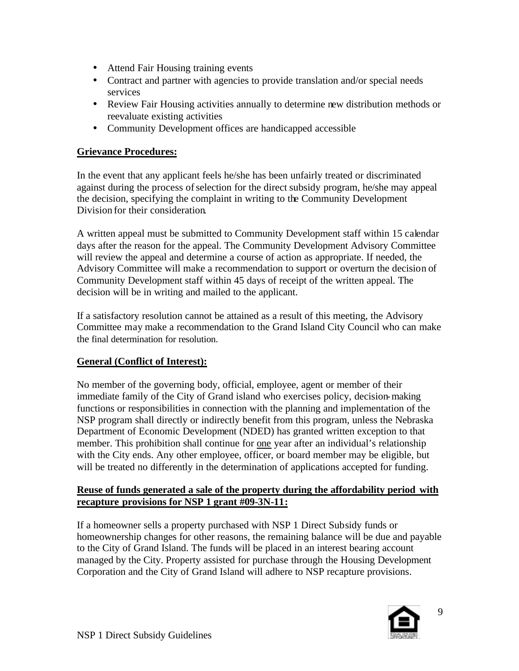- Attend Fair Housing training events
- Contract and partner with agencies to provide translation and/or special needs services
- Review Fair Housing activities annually to determine new distribution methods or reevaluate existing activities
- Community Development offices are handicapped accessible

#### **Grievance Procedures:**

In the event that any applicant feels he/she has been unfairly treated or discriminated against during the process of selection for the direct subsidy program, he/she may appeal the decision, specifying the complaint in writing to the Community Development Division for their consideration.

A written appeal must be submitted to Community Development staff within 15 calendar days after the reason for the appeal. The Community Development Advisory Committee will review the appeal and determine a course of action as appropriate. If needed, the Advisory Committee will make a recommendation to support or overturn the decision of Community Development staff within 45 days of receipt of the written appeal. The decision will be in writing and mailed to the applicant.

If a satisfactory resolution cannot be attained as a result of this meeting, the Advisory Committee may make a recommendation to the Grand Island City Council who can make the final determination for resolution.

#### **General (Conflict of Interest):**

No member of the governing body, official, employee, agent or member of their immediate family of the City of Grand island who exercises policy, decision-making functions or responsibilities in connection with the planning and implementation of the NSP program shall directly or indirectly benefit from this program, unless the Nebraska Department of Economic Development (NDED) has granted written exception to that member. This prohibition shall continue for one year after an individual's relationship with the City ends. Any other employee, officer, or board member may be eligible, but will be treated no differently in the determination of applications accepted for funding.

#### **Reuse of funds generated a sale of the property during the affordability period with recapture provisions for NSP 1 grant #09-3N-11:**

If a homeowner sells a property purchased with NSP 1 Direct Subsidy funds or homeownership changes for other reasons, the remaining balance will be due and payable to the City of Grand Island. The funds will be placed in an interest bearing account managed by the City. Property assisted for purchase through the Housing Development Corporation and the City of Grand Island will adhere to NSP recapture provisions.

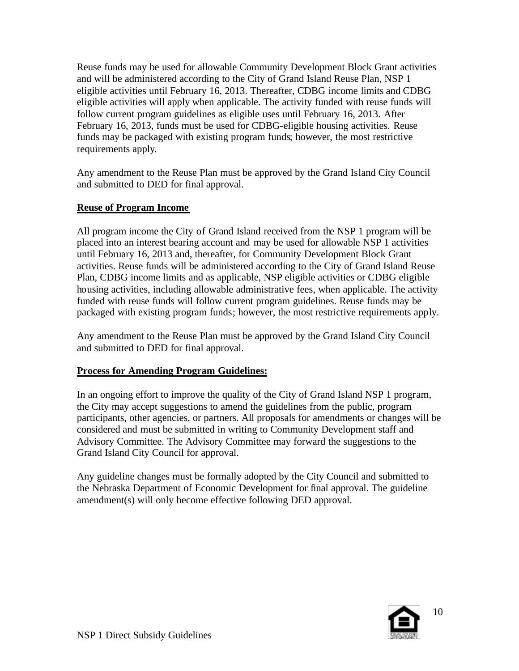Reuse funds may be used for allowable Community Development Block Grant activities and will be administered according to the City of Grand Island Reuse Plan, NSP 1 eligible activities until February 16, 2013. Thereafter, CDBG income limits and CDBG eligible activities will apply when applicable. The activity funded with reuse funds will follow current program guidelines as eligible uses until February 16, 2013. After February 16, 2013, funds must be used for CDBG-eligible housing activities. Reuse funds may be packaged with existing program funds; however, the most restrictive requirements apply.

Any amendment to the Reuse Plan must be approved by the Grand Island City Council and submitted to DED for final approval.

#### **Reuse of Program Income**

All program income the City of Grand Island received from the NSP 1 program will be placed into an interest bearing account and may be used for allowable NSP 1 activities until February 16, 2013 and, thereafter, for Community Development Block Grant activities. Reuse funds will be administered according to the City of Grand Island Reuse Plan, CDBG income limits and as applicable, NSP eligible activities or CDBG eligible housing activities, including allowable administrative fees, when applicable. The activity funded with reuse funds will follow current program guidelines. Reuse funds may be packaged with existing program funds; however, the most restrictive requirements apply.

Any amendment to the Reuse Plan must be approved by the Grand Island City Council and submitted to DED for final approval.

#### **Process for Amending Program Guidelines:**

In an ongoing effort to improve the quality of the City of Grand Island NSP 1 program, the City may accept suggestions to amend the guidelines from the public, program participants, other agencies, or partners. All proposals for amendments or changes will be considered and must be submitted in writing to Community Development staff and Advisory Committee. The Advisory Committee may forward the suggestions to the Grand Island City Council for approval.

Any guideline changes must be formally adopted by the City Council and submitted to the Nebraska Department of Economic Development for final approval. The guideline amendment(s) will only become effective following DED approval.

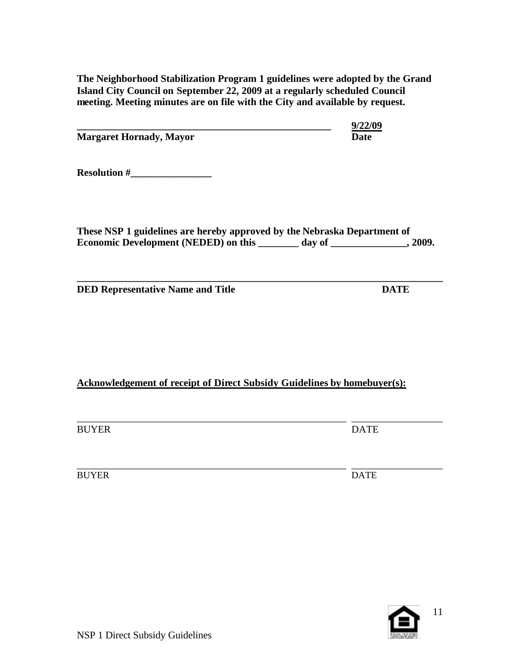**The Neighborhood Stabilization Program 1 guidelines were adopted by the Grand Island City Council on September 22, 2009 at a regularly scheduled Council meeting. Meeting minutes are on file with the City and available by request.** 

|                                                                                                                                                        | 9/22/09     |
|--------------------------------------------------------------------------------------------------------------------------------------------------------|-------------|
| <b>Margaret Hornady, Mayor</b>                                                                                                                         | <b>Date</b> |
| ${\bf Resolution} \# \_\_\_\_\_\_\_\_ \$                                                                                                               |             |
| These NSP 1 guidelines are hereby approved by the Nebraska Department of<br>Economic Development (NEDED) on this _______ day of _______________, 2009. |             |
| <b>DED Representative Name and Title</b>                                                                                                               | <b>DATE</b> |
| <b>Acknowledgement of receipt of Direct Subsidy Guidelines by homebuyer(s):</b>                                                                        |             |
| <b>BUYER</b>                                                                                                                                           | <b>DATE</b> |
| <b>BUYER</b>                                                                                                                                           | <b>DATE</b> |